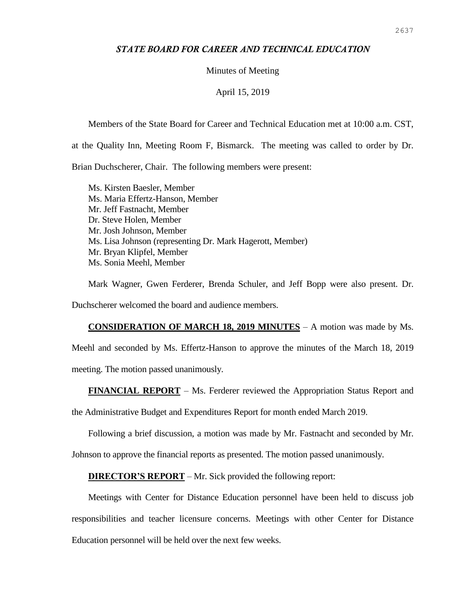# *STATE BOARD FOR CAREER AND TECHNICAL EDUCATION*

## Minutes of Meeting

#### April 15, 2019

Members of the State Board for Career and Technical Education met at 10:00 a.m. CST,

at the Quality Inn, Meeting Room F, Bismarck. The meeting was called to order by Dr.

Brian Duchscherer, Chair. The following members were present:

Ms. Kirsten Baesler, Member Ms. Maria Effertz-Hanson, Member Mr. Jeff Fastnacht, Member Dr. Steve Holen, Member Mr. Josh Johnson, Member Ms. Lisa Johnson (representing Dr. Mark Hagerott, Member) Mr. Bryan Klipfel, Member Ms. Sonia Meehl, Member

Mark Wagner, Gwen Ferderer, Brenda Schuler, and Jeff Bopp were also present. Dr. Duchscherer welcomed the board and audience members.

**CONSIDERATION OF MARCH 18, 2019 MINUTES** – A motion was made by Ms.

Meehl and seconded by Ms. Effertz-Hanson to approve the minutes of the March 18, 2019 meeting. The motion passed unanimously.

**FINANCIAL REPORT** – Ms. Ferderer reviewed the Appropriation Status Report and

the Administrative Budget and Expenditures Report for month ended March 2019.

Following a brief discussion, a motion was made by Mr. Fastnacht and seconded by Mr.

Johnson to approve the financial reports as presented. The motion passed unanimously.

**DIRECTOR'S REPORT** – Mr. Sick provided the following report:

Meetings with Center for Distance Education personnel have been held to discuss job responsibilities and teacher licensure concerns. Meetings with other Center for Distance Education personnel will be held over the next few weeks.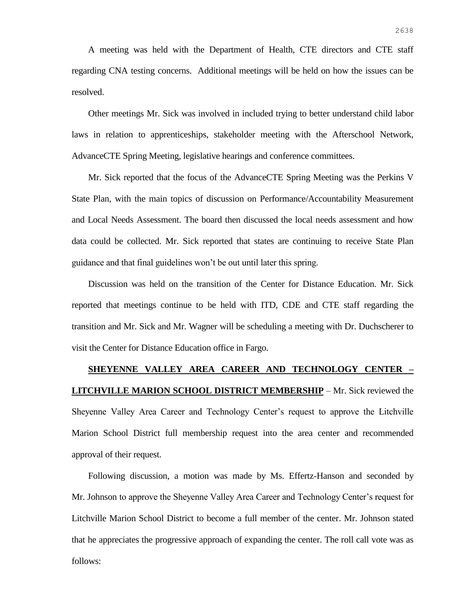A meeting was held with the Department of Health, CTE directors and CTE staff regarding CNA testing concerns. Additional meetings will be held on how the issues can be resolved.

Other meetings Mr. Sick was involved in included trying to better understand child labor laws in relation to apprenticeships, stakeholder meeting with the Afterschool Network, AdvanceCTE Spring Meeting, legislative hearings and conference committees.

Mr. Sick reported that the focus of the AdvanceCTE Spring Meeting was the Perkins V State Plan, with the main topics of discussion on Performance/Accountability Measurement and Local Needs Assessment. The board then discussed the local needs assessment and how data could be collected. Mr. Sick reported that states are continuing to receive State Plan guidance and that final guidelines won't be out until later this spring.

Discussion was held on the transition of the Center for Distance Education. Mr. Sick reported that meetings continue to be held with ITD, CDE and CTE staff regarding the transition and Mr. Sick and Mr. Wagner will be scheduling a meeting with Dr. Duchscherer to visit the Center for Distance Education office in Fargo.

# **SHEYENNE VALLEY AREA CAREER AND TECHNOLOGY CENTER – LITCHVILLE MARION SCHOOL DISTRICT MEMBERSHIP** – Mr. Sick reviewed the Sheyenne Valley Area Career and Technology Center's request to approve the Litchville Marion School District full membership request into the area center and recommended approval of their request.

Following discussion, a motion was made by Ms. Effertz-Hanson and seconded by Mr. Johnson to approve the Sheyenne Valley Area Career and Technology Center's request for Litchville Marion School District to become a full member of the center. Mr. Johnson stated that he appreciates the progressive approach of expanding the center. The roll call vote was as follows: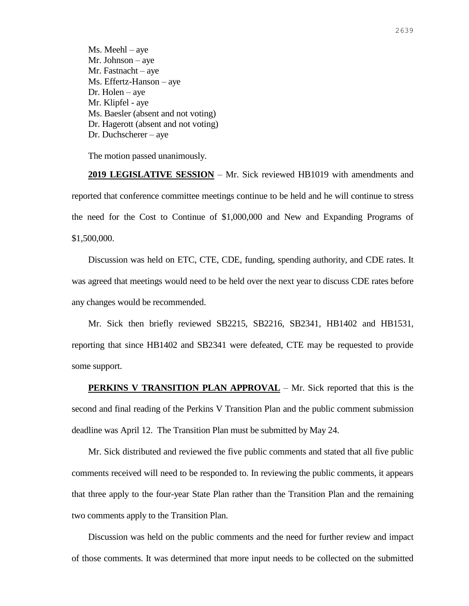Ms. Meehl – aye Mr. Johnson – aye Mr. Fastnacht – aye Ms. Effertz-Hanson – aye Dr. Holen – aye Mr. Klipfel - aye Ms. Baesler (absent and not voting) Dr. Hagerott (absent and not voting) Dr. Duchscherer – aye

The motion passed unanimously.

**2019 LEGISLATIVE SESSION** – Mr. Sick reviewed HB1019 with amendments and reported that conference committee meetings continue to be held and he will continue to stress the need for the Cost to Continue of \$1,000,000 and New and Expanding Programs of \$1,500,000.

Discussion was held on ETC, CTE, CDE, funding, spending authority, and CDE rates. It was agreed that meetings would need to be held over the next year to discuss CDE rates before any changes would be recommended.

Mr. Sick then briefly reviewed SB2215, SB2216, SB2341, HB1402 and HB1531, reporting that since HB1402 and SB2341 were defeated, CTE may be requested to provide some support.

**PERKINS V TRANSITION PLAN APPROVAL** – Mr. Sick reported that this is the second and final reading of the Perkins V Transition Plan and the public comment submission deadline was April 12. The Transition Plan must be submitted by May 24.

Mr. Sick distributed and reviewed the five public comments and stated that all five public comments received will need to be responded to. In reviewing the public comments, it appears that three apply to the four-year State Plan rather than the Transition Plan and the remaining two comments apply to the Transition Plan.

Discussion was held on the public comments and the need for further review and impact of those comments. It was determined that more input needs to be collected on the submitted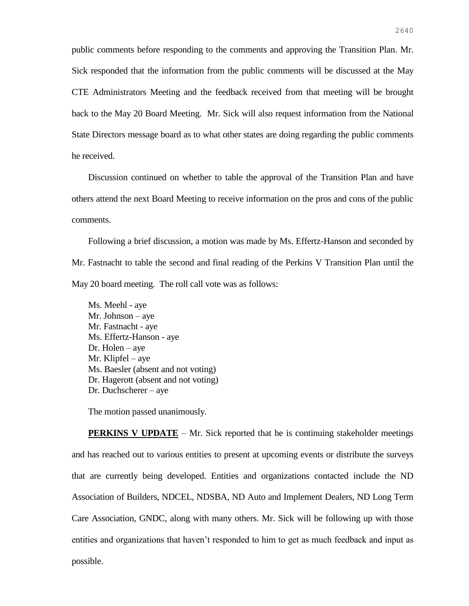public comments before responding to the comments and approving the Transition Plan. Mr. Sick responded that the information from the public comments will be discussed at the May CTE Administrators Meeting and the feedback received from that meeting will be brought back to the May 20 Board Meeting. Mr. Sick will also request information from the National State Directors message board as to what other states are doing regarding the public comments he received.

Discussion continued on whether to table the approval of the Transition Plan and have others attend the next Board Meeting to receive information on the pros and cons of the public comments.

Following a brief discussion, a motion was made by Ms. Effertz-Hanson and seconded by Mr. Fastnacht to table the second and final reading of the Perkins V Transition Plan until the May 20 board meeting. The roll call vote was as follows:

Ms. Meehl - aye Mr. Johnson – aye Mr. Fastnacht - aye Ms. Effertz-Hanson - aye Dr. Holen – aye Mr. Klipfel – aye Ms. Baesler (absent and not voting) Dr. Hagerott (absent and not voting) Dr. Duchscherer – aye

The motion passed unanimously.

**PERKINS V UPDATE** – Mr. Sick reported that he is continuing stakeholder meetings and has reached out to various entities to present at upcoming events or distribute the surveys that are currently being developed. Entities and organizations contacted include the ND Association of Builders, NDCEL, NDSBA, ND Auto and Implement Dealers, ND Long Term Care Association, GNDC, along with many others. Mr. Sick will be following up with those entities and organizations that haven't responded to him to get as much feedback and input as possible.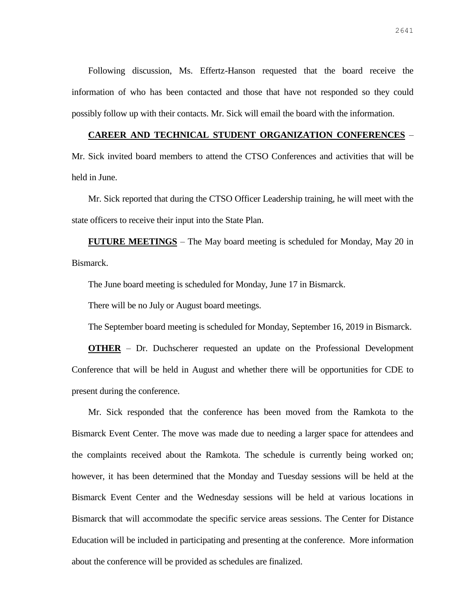Following discussion, Ms. Effertz-Hanson requested that the board receive the information of who has been contacted and those that have not responded so they could possibly follow up with their contacts. Mr. Sick will email the board with the information.

## **CAREER AND TECHNICAL STUDENT ORGANIZATION CONFERENCES** –

Mr. Sick invited board members to attend the CTSO Conferences and activities that will be held in June.

Mr. Sick reported that during the CTSO Officer Leadership training, he will meet with the state officers to receive their input into the State Plan.

**FUTURE MEETINGS** – The May board meeting is scheduled for Monday, May 20 in Bismarck.

The June board meeting is scheduled for Monday, June 17 in Bismarck.

There will be no July or August board meetings.

The September board meeting is scheduled for Monday, September 16, 2019 in Bismarck.

**OTHER** – Dr. Duchscherer requested an update on the Professional Development Conference that will be held in August and whether there will be opportunities for CDE to present during the conference.

Mr. Sick responded that the conference has been moved from the Ramkota to the Bismarck Event Center. The move was made due to needing a larger space for attendees and the complaints received about the Ramkota. The schedule is currently being worked on; however, it has been determined that the Monday and Tuesday sessions will be held at the Bismarck Event Center and the Wednesday sessions will be held at various locations in Bismarck that will accommodate the specific service areas sessions. The Center for Distance Education will be included in participating and presenting at the conference. More information about the conference will be provided as schedules are finalized.